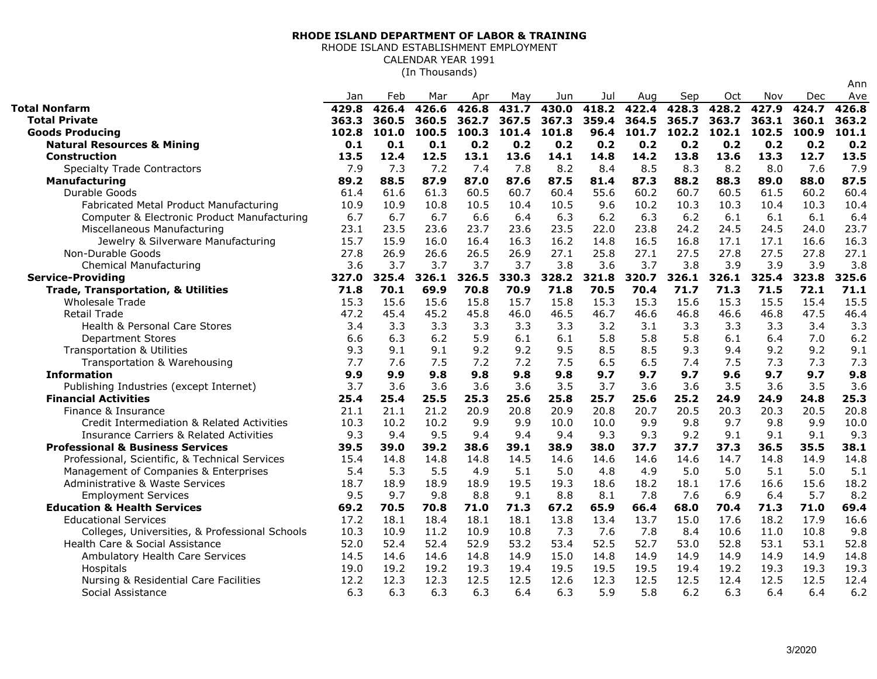## **RHODE ISLAND DEPARTMENT OF LABOR & TRAINING**

## RHODE ISLAND ESTABLISHMENT EMPLOYMENTCALENDAR YEAR 1991(In Thousands)

|                                                    |       |       |       |       |       |       |       |       |       |       |       |       | Ann   |
|----------------------------------------------------|-------|-------|-------|-------|-------|-------|-------|-------|-------|-------|-------|-------|-------|
|                                                    | Jan   | Feb   | Mar   | Apr   | May   | Jun   | Jul   | Aug   | Sep   | Oct   | Nov   | Dec   | Ave   |
| <b>Total Nonfarm</b>                               | 429.8 | 426.4 | 426.6 | 426.8 | 431.7 | 430.0 | 418.2 | 422.4 | 428.3 | 428.2 | 427.9 | 424.7 | 426.8 |
| <b>Total Private</b>                               | 363.3 | 360.5 | 360.5 | 362.7 | 367.5 | 367.3 | 359.4 | 364.5 | 365.7 | 363.7 | 363.1 | 360.1 | 363.2 |
| <b>Goods Producing</b>                             | 102.8 | 101.0 | 100.5 | 100.3 | 101.4 | 101.8 | 96.4  | 101.7 | 102.2 | 102.1 | 102.5 | 100.9 | 101.1 |
| <b>Natural Resources &amp; Mining</b>              | 0.1   | 0.1   | 0.1   | 0.2   | 0.2   | 0.2   | 0.2   | 0.2   | 0.2   | 0.2   | 0.2   | 0.2   | 0.2   |
| <b>Construction</b>                                | 13.5  | 12.4  | 12.5  | 13.1  | 13.6  | 14.1  | 14.8  | 14.2  | 13.8  | 13.6  | 13.3  | 12.7  | 13.5  |
| <b>Specialty Trade Contractors</b>                 | 7.9   | 7.3   | 7.2   | 7.4   | 7.8   | 8.2   | 8.4   | 8.5   | 8.3   | 8.2   | 8.0   | 7.6   | 7.9   |
| Manufacturing                                      | 89.2  | 88.5  | 87.9  | 87.0  | 87.6  | 87.5  | 81.4  | 87.3  | 88.2  | 88.3  | 89.0  | 88.0  | 87.5  |
| Durable Goods                                      | 61.4  | 61.6  | 61.3  | 60.5  | 60.7  | 60.4  | 55.6  | 60.2  | 60.7  | 60.5  | 61.5  | 60.2  | 60.4  |
| Fabricated Metal Product Manufacturing             | 10.9  | 10.9  | 10.8  | 10.5  | 10.4  | 10.5  | 9.6   | 10.2  | 10.3  | 10.3  | 10.4  | 10.3  | 10.4  |
| Computer & Electronic Product Manufacturing        | 6.7   | 6.7   | 6.7   | 6.6   | 6.4   | 6.3   | 6.2   | 6.3   | 6.2   | 6.1   | 6.1   | 6.1   | 6.4   |
| Miscellaneous Manufacturing                        | 23.1  | 23.5  | 23.6  | 23.7  | 23.6  | 23.5  | 22.0  | 23.8  | 24.2  | 24.5  | 24.5  | 24.0  | 23.7  |
| Jewelry & Silverware Manufacturing                 | 15.7  | 15.9  | 16.0  | 16.4  | 16.3  | 16.2  | 14.8  | 16.5  | 16.8  | 17.1  | 17.1  | 16.6  | 16.3  |
| Non-Durable Goods                                  | 27.8  | 26.9  | 26.6  | 26.5  | 26.9  | 27.1  | 25.8  | 27.1  | 27.5  | 27.8  | 27.5  | 27.8  | 27.1  |
| <b>Chemical Manufacturing</b>                      | 3.6   | 3.7   | 3.7   | 3.7   | 3.7   | 3.8   | 3.6   | 3.7   | 3.8   | 3.9   | 3.9   | 3.9   | 3.8   |
| <b>Service-Providing</b>                           | 327.0 | 325.4 | 326.1 | 326.5 | 330.3 | 328.2 | 321.8 | 320.7 | 326.1 | 326.1 | 325.4 | 323.8 | 325.6 |
| <b>Trade, Transportation, &amp; Utilities</b>      | 71.8  | 70.1  | 69.9  | 70.8  | 70.9  | 71.8  | 70.5  | 70.4  | 71.7  | 71.3  | 71.5  | 72.1  | 71.1  |
| <b>Wholesale Trade</b>                             | 15.3  | 15.6  | 15.6  | 15.8  | 15.7  | 15.8  | 15.3  | 15.3  | 15.6  | 15.3  | 15.5  | 15.4  | 15.5  |
| Retail Trade                                       | 47.2  | 45.4  | 45.2  | 45.8  | 46.0  | 46.5  | 46.7  | 46.6  | 46.8  | 46.6  | 46.8  | 47.5  | 46.4  |
| Health & Personal Care Stores                      | 3.4   | 3.3   | 3.3   | 3.3   | 3.3   | 3.3   | 3.2   | 3.1   | 3.3   | 3.3   | 3.3   | 3.4   | 3.3   |
| <b>Department Stores</b>                           | 6.6   | 6.3   | 6.2   | 5.9   | 6.1   | 6.1   | 5.8   | 5.8   | 5.8   | 6.1   | 6.4   | 7.0   | 6.2   |
| <b>Transportation &amp; Utilities</b>              | 9.3   | 9.1   | 9.1   | 9.2   | 9.2   | 9.5   | 8.5   | 8.5   | 9.3   | 9.4   | 9.2   | 9.2   | 9.1   |
| Transportation & Warehousing                       | 7.7   | 7.6   | 7.5   | 7.2   | 7.2   | 7.5   | 6.5   | 6.5   | 7.4   | 7.5   | 7.3   | 7.3   | 7.3   |
| <b>Information</b>                                 | 9.9   | 9.9   | 9.8   | 9.8   | 9.8   | 9.8   | 9.7   | 9.7   | 9.7   | 9.6   | 9.7   | 9.7   | 9.8   |
| Publishing Industries (except Internet)            | 3.7   | 3.6   | 3.6   | 3.6   | 3.6   | 3.5   | 3.7   | 3.6   | 3.6   | 3.5   | 3.6   | 3.5   | 3.6   |
| <b>Financial Activities</b>                        | 25.4  | 25.4  | 25.5  | 25.3  | 25.6  | 25.8  | 25.7  | 25.6  | 25.2  | 24.9  | 24.9  | 24.8  | 25.3  |
| Finance & Insurance                                | 21.1  | 21.1  | 21.2  | 20.9  | 20.8  | 20.9  | 20.8  | 20.7  | 20.5  | 20.3  | 20.3  | 20.5  | 20.8  |
| Credit Intermediation & Related Activities         | 10.3  | 10.2  | 10.2  | 9.9   | 9.9   | 10.0  | 10.0  | 9.9   | 9.8   | 9.7   | 9.8   | 9.9   | 10.0  |
| <b>Insurance Carriers &amp; Related Activities</b> | 9.3   | 9.4   | 9.5   | 9.4   | 9.4   | 9.4   | 9.3   | 9.3   | 9.2   | 9.1   | 9.1   | 9.1   | 9.3   |
| <b>Professional &amp; Business Services</b>        | 39.5  | 39.0  | 39.2  | 38.6  | 39.1  | 38.9  | 38.0  | 37.7  | 37.7  | 37.3  | 36.5  | 35.5  | 38.1  |
| Professional, Scientific, & Technical Services     | 15.4  | 14.8  | 14.8  | 14.8  | 14.5  | 14.6  | 14.6  | 14.6  | 14.6  | 14.7  | 14.8  | 14.9  | 14.8  |
| Management of Companies & Enterprises              | 5.4   | 5.3   | 5.5   | 4.9   | 5.1   | 5.0   | 4.8   | 4.9   | 5.0   | 5.0   | 5.1   | 5.0   | 5.1   |
| Administrative & Waste Services                    | 18.7  | 18.9  | 18.9  | 18.9  | 19.5  | 19.3  | 18.6  | 18.2  | 18.1  | 17.6  | 16.6  | 15.6  | 18.2  |
| <b>Employment Services</b>                         | 9.5   | 9.7   | 9.8   | 8.8   | 9.1   | 8.8   | 8.1   | 7.8   | 7.6   | 6.9   | 6.4   | 5.7   | 8.2   |
| <b>Education &amp; Health Services</b>             | 69.2  | 70.5  | 70.8  | 71.0  | 71.3  | 67.2  | 65.9  | 66.4  | 68.0  | 70.4  | 71.3  | 71.0  | 69.4  |
| <b>Educational Services</b>                        | 17.2  | 18.1  | 18.4  | 18.1  | 18.1  | 13.8  | 13.4  | 13.7  | 15.0  | 17.6  | 18.2  | 17.9  | 16.6  |
| Colleges, Universities, & Professional Schools     | 10.3  | 10.9  | 11.2  | 10.9  | 10.8  | 7.3   | 7.6   | 7.8   | 8.4   | 10.6  | 11.0  | 10.8  | 9.8   |
| Health Care & Social Assistance                    | 52.0  | 52.4  | 52.4  | 52.9  | 53.2  | 53.4  | 52.5  | 52.7  | 53.0  | 52.8  | 53.1  | 53.1  | 52.8  |
| Ambulatory Health Care Services                    | 14.5  | 14.6  | 14.6  | 14.8  | 14.9  | 15.0  | 14.8  | 14.9  | 14.9  | 14.9  | 14.9  | 14.9  | 14.8  |
| Hospitals                                          | 19.0  | 19.2  | 19.2  | 19.3  | 19.4  | 19.5  | 19.5  | 19.5  | 19.4  | 19.2  | 19.3  | 19.3  | 19.3  |
| Nursing & Residential Care Facilities              | 12.2  | 12.3  | 12.3  | 12.5  | 12.5  | 12.6  | 12.3  | 12.5  | 12.5  | 12.4  | 12.5  | 12.5  | 12.4  |
| Social Assistance                                  | 6.3   | 6.3   | 6.3   | 6.3   | 6.4   | 6.3   | 5.9   | 5.8   | 6.2   | 6.3   | 6.4   | 6.4   | 6.2   |